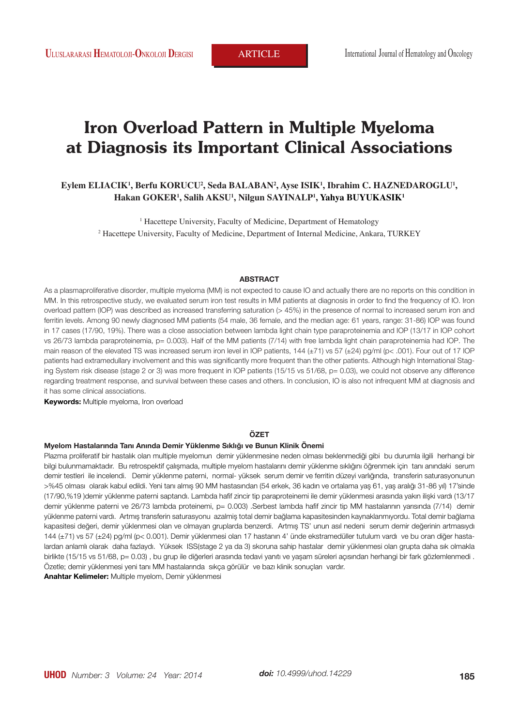**ULLUSLARARASI <b>HEMATOLOJI-ONKOLOJI DERGISI** ARTICLE International Journal of Hematology and Oncology

# **Iron Overload Pattern in Multiple Myeloma at Diagnosis its Important Clinical Associations**

## ${\bf E}$ ylem ELIACIK<sup>1</sup>, Berfu KORUCU<sup>2</sup>, Seda BALABAN<sup>2</sup>, Ayse ISIK<sup>1</sup>, Ibrahim C. HAZNEDAROGLU<sup>1</sup>, **Hakan GOKER1 , Salih AKSU1 , Nilgun SAYINALP1 , Yahya BUYUKASIK1**

<sup>1</sup> Hacettepe University, Faculty of Medicine, Department of Hematology 2 Hacettepe University, Faculty of Medicine, Department of Internal Medicine, Ankara, TURKEY

#### **ABSTRACT**

As a plasmaproliferative disorder, multiple myeloma (MM) is not expected to cause IO and actually there are no reports on this condition in MM. In this retrospective study, we evaluated serum iron test results in MM patients at diagnosis in order to find the frequency of IO. Iron overload pattern (IOP) was described as increased transferring saturation (> 45%) in the presence of normal to increased serum iron and ferritin levels. Among 90 newly diagnosed MM patients (54 male, 36 female, and the median age: 61 years, range: 31-86) IOP was found in 17 cases (17/90, 19%). There was a close association between lambda light chain type paraproteinemia and IOP (13/17 in IOP cohort vs 26/73 lambda paraproteinemia, p= 0.003). Half of the MM patients (7/14) with free lambda light chain paraproteinemia had IOP. The main reason of the elevated TS was increased serum iron level in IOP patients, 144 (±71) vs 57 (±24) pg/ml (p< .001). Four out of 17 IOP patients had extramedullary involvement and this was significantly more frequent than the other patients. Although high International Staging System risk disease (stage 2 or 3) was more frequent in IOP patients (15/15 vs 51/68, p= 0.03), we could not observe any difference regarding treatment response, and survival between these cases and others. In conclusion, IO is also not infrequent MM at diagnosis and it has some clinical associations.

**Keywords:** Multiple myeloma, Iron overload

#### **ÖZET**

#### **Myelom Hastalarında Tanı Anında Demir Yüklenme Sıklığı ve Bunun Klinik Önemi**

Plazma proliferatif bir hastalık olan multiple myelomun demir yüklenmesine neden olması beklenmediği gibi bu durumla ilgili herhangi bir bilgi bulunmamaktadır. Bu retrospektif çalışmada, multiple myelom hastalarını demir yüklenme sıklığını öğrenmek için tanı anındaki serum demir testleri ile incelendi. Demir yüklenme paterni, normal- yüksek serum demir ve ferritin düzeyi varlığında, transferin saturasyonunun >%45 olması olarak kabul edildi. Yeni tanı almış 90 MM hastasından (54 erkek, 36 kadın ve ortalama yaş 61, yaş aralığı 31-86 yıl) 17'sinde (17/90,%19 )demir yüklenme paterni saptandı. Lambda hafif zincir tip paraproteinemi ile demir yüklenmesi arasında yakın ilişki vardı (13/17 demir yüklenme paterni ve 26/73 lambda proteinemi, p= 0.003) .Serbest lambda hafif zincir tip MM hastalarının yarısında (7/14) demir yüklenme paterni vardı. Artmış transferin saturasyonu azalmiş total demir bağlama kapasitesinden kaynaklanmıyordu. Total demir bağlama kapasitesi değeri, demir yüklenmesi olan ve olmayan gruplarda benzerdi. Artmış TS' unun asıl nedeni serum demir değerinin artmasıydı 144 (±71) vs 57 (±24) pg/ml (p< 0.001). Demir yüklenmesi olan 17 hastanın 4' ünde ekstramedüller tutulum vardı ve bu oran diğer hastalardan anlamlı olarak daha fazlaydı. Yüksek ISS(stage 2 ya da 3) skoruna sahip hastalar demir yüklenmesi olan grupta daha sık olmakla birlikte (15/15 vs 51/68, p= 0.03), bu grup ile diğerleri arasında tedavi yanıtı ve yaşam süreleri açısından herhangi bir fark gözlemlenmedi . Özetle; demir yüklenmesi yeni tanı MM hastalarında sıkça görülür ve bazı klinik sonuçları vardır.

**Anahtar Kelimeler:** Multiple myelom, Demir yüklenmesi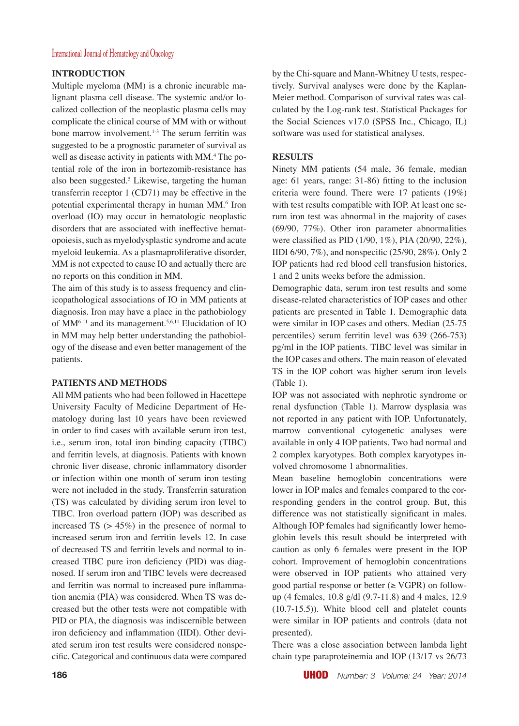### International Journal of Hematology and Oncology

### **INTRODUCTION**

Multiple myeloma (MM) is a chronic incurable malignant plasma cell disease. The systemic and/or localized collection of the neoplastic plasma cells may complicate the clinical course of MM with or without bone marrow involvement.<sup>1-3</sup> The serum ferritin was suggested to be a prognostic parameter of survival as well as disease activity in patients with MM.4 The potential role of the iron in bortezomib-resistance has also been suggested.<sup>5</sup> Likewise, targeting the human transferrin receptor 1 (CD71) may be effective in the potential experimental therapy in human MM.<sup>6</sup> Iron overload (IO) may occur in hematologic neoplastic disorders that are associated with ineffective hematopoiesis, such as myelodysplastic syndrome and acute myeloid leukemia. As a plasmaproliferative disorder, MM is not expected to cause IO and actually there are no reports on this condition in MM.

The aim of this study is to assess frequency and clinicopathological associations of IO in MM patients at diagnosis. Iron may have a place in the pathobiology of MM<sup>6-11</sup> and its management.<sup>5,6,11</sup> Elucidation of IO in MM may help better understanding the pathobiology of the disease and even better management of the patients.

## **PATIENTS AND METHODS**

All MM patients who had been followed in Hacettepe University Faculty of Medicine Department of Hematology during last 10 years have been reviewed in order to find cases with available serum iron test, i.e., serum iron, total iron binding capacity (TIBC) and ferritin levels, at diagnosis. Patients with known chronic liver disease, chronic inflammatory disorder or infection within one month of serum iron testing were not included in the study. Transferrin saturation (TS) was calculated by dividing serum iron level to TIBC. Iron overload pattern (IOP) was described as increased TS  $(> 45\%)$  in the presence of normal to increased serum iron and ferritin levels 12. In case of decreased TS and ferritin levels and normal to increased TIBC pure iron deficiency (PID) was diagnosed. If serum iron and TIBC levels were decreased and ferritin was normal to increased pure inflammation anemia (PIA) was considered. When TS was decreased but the other tests were not compatible with PID or PIA, the diagnosis was indiscernible between iron deficiency and inflammation (IIDI). Other deviated serum iron test results were considered nonspecific. Categorical and continuous data were compared

by the Chi-square and Mann-Whitney U tests, respectively. Survival analyses were done by the Kaplan-Meier method. Comparison of survival rates was calculated by the Log-rank test. Statistical Packages for the Social Sciences v17.0 (SPSS Inc., Chicago, IL) software was used for statistical analyses.

### **RESULTS**

Ninety MM patients (54 male, 36 female, median age: 61 years, range: 31-86) fitting to the inclusion criteria were found. There were 17 patients (19%) with test results compatible with IOP. At least one serum iron test was abnormal in the majority of cases (69/90, 77%). Other iron parameter abnormalities were classified as PID (1/90, 1%), PIA (20/90, 22%), IIDI 6/90, 7%), and nonspecific (25/90, 28%). Only 2 IOP patients had red blood cell transfusion histories, 1 and 2 units weeks before the admission.

Demographic data, serum iron test results and some disease-related characteristics of IOP cases and other patients are presented in Table 1. Demographic data were similar in IOP cases and others. Median (25-75 percentiles) serum ferritin level was 639 (266-753) pg/ml in the IOP patients. TIBC level was similar in the IOP cases and others. The main reason of elevated TS in the IOP cohort was higher serum iron levels (Table 1).

IOP was not associated with nephrotic syndrome or renal dysfunction (Table 1). Marrow dysplasia was not reported in any patient with IOP. Unfortunately, marrow conventional cytogenetic analyses were available in only 4 IOP patients. Two had normal and 2 complex karyotypes. Both complex karyotypes involved chromosome 1 abnormalities.

Mean baseline hemoglobin concentrations were lower in IOP males and females compared to the corresponding genders in the control group. But, this difference was not statistically significant in males. Although IOP females had significantly lower hemoglobin levels this result should be interpreted with caution as only 6 females were present in the IOP cohort. Improvement of hemoglobin concentrations were observed in IOP patients who attained very good partial response or better  $(\geq VGPR)$  on followup (4 females, 10.8 g/dl (9.7-11.8) and 4 males, 12.9 (10.7-15.5)). White blood cell and platelet counts were similar in IOP patients and controls (data not presented).

There was a close association between lambda light chain type paraproteinemia and IOP (13/17 vs 26/73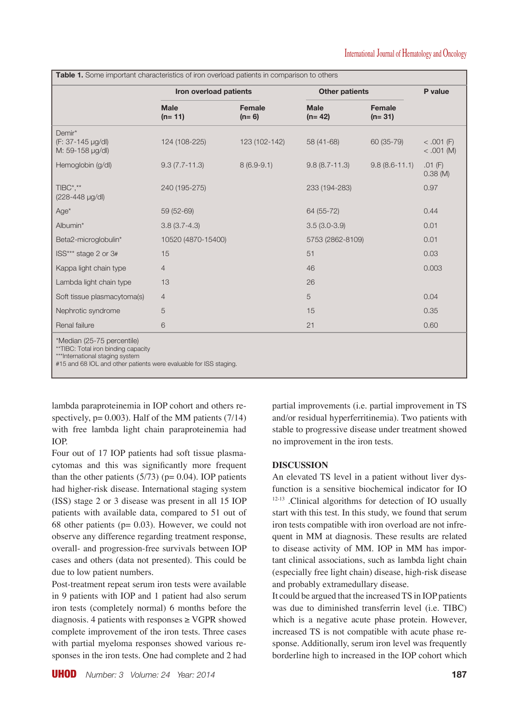|                                                                                                                                                                           | Iron overload patients  |                   | <b>Other patients</b>   |                    | P value                      |
|---------------------------------------------------------------------------------------------------------------------------------------------------------------------------|-------------------------|-------------------|-------------------------|--------------------|------------------------------|
|                                                                                                                                                                           | <b>Male</b><br>$(n=11)$ | Female<br>$(n=6)$ | <b>Male</b><br>$(n=42)$ | Female<br>$(n=31)$ |                              |
| Demir*<br>(F: 37-145 µg/dl)<br>M: 59-158 µg/dl)                                                                                                                           | 124 (108-225)           | 123 (102-142)     | 58 (41-68)              | 60 (35-79)         | $< .001$ (F)<br>$< .001$ (M) |
| Hemoglobin (g/dl)                                                                                                                                                         | $9.3(7.7-11.3)$         | $8(6.9-9.1)$      | $9.8(8.7 - 11.3)$       | $9.8(8.6 - 11.1)$  | $.01$ (F)<br>$0.38$ (M)      |
| TIBC*.**<br>(228-448 µg/dl)                                                                                                                                               | 240 (195-275)           |                   | 233 (194-283)           |                    | 0.97                         |
| $Age*$                                                                                                                                                                    | 59 (52-69)              |                   | 64 (55-72)              |                    | 0.44                         |
| Albumin*                                                                                                                                                                  | $3.8(3.7-4.3)$          |                   | $3.5(3.0-3.9)$          |                    | 0.01                         |
| Beta2-microglobulin*                                                                                                                                                      | 10520 (4870-15400)      |                   | 5753 (2862-8109)        |                    | 0.01                         |
| ISS*** stage 2 or 3#                                                                                                                                                      | 15                      |                   | 51                      |                    | 0.03                         |
| Kappa light chain type                                                                                                                                                    | $\overline{4}$          |                   | 46                      |                    | 0.003                        |
| Lambda light chain type                                                                                                                                                   | 13                      |                   | 26                      |                    |                              |
| Soft tissue plasmacytoma(s)                                                                                                                                               | $\overline{4}$          |                   | 5                       |                    | 0.04                         |
| Nephrotic syndrome                                                                                                                                                        | 5                       |                   | 15                      |                    | 0.35                         |
| Renal failure                                                                                                                                                             | 6                       |                   | 21                      |                    | 0.60                         |
| *Median (25-75 percentile)<br>**TIBC: Total iron binding capacity<br>***International staging system<br>#15 and 68 IOL and other patients were evaluable for ISS staging. |                         |                   |                         |                    |                              |

lambda paraproteinemia in IOP cohort and others respectively,  $p = 0.003$ . Half of the MM patients (7/14) with free lambda light chain paraproteinemia had IOP.

Four out of 17 IOP patients had soft tissue plasmacytomas and this was significantly more frequent than the other patients  $(5/73)$  (p= 0.04). IOP patients had higher-risk disease. International staging system (ISS) stage 2 or 3 disease was present in all 15 IOP patients with available data, compared to 51 out of 68 other patients ( $p= 0.03$ ). However, we could not observe any difference regarding treatment response, overall- and progression-free survivals between IOP cases and others (data not presented). This could be due to low patient numbers.

Post-treatment repeat serum iron tests were available in 9 patients with IOP and 1 patient had also serum iron tests (completely normal) 6 months before the diagnosis. 4 patients with responses  $\geq$  VGPR showed complete improvement of the iron tests. Three cases with partial myeloma responses showed various responses in the iron tests. One had complete and 2 had

UHOD *Number: 3 Volume: 24 Year: 2014* **187**

partial improvements (i.e. partial improvement in TS and/or residual hyperferritinemia). Two patients with stable to progressive disease under treatment showed no improvement in the iron tests.

# **DISCUSSION**

An elevated TS level in a patient without liver dysfunction is a sensitive biochemical indicator for IO 12-13 .Clinical algorithms for detection of IO usually start with this test. In this study, we found that serum iron tests compatible with iron overload are not infrequent in MM at diagnosis. These results are related to disease activity of MM. IOP in MM has important clinical associations, such as lambda light chain (especially free light chain) disease, high-risk disease and probably extramedullary disease.

It could be argued that the increased TS in IOP patients was due to diminished transferrin level (i.e. TIBC) which is a negative acute phase protein. However, increased TS is not compatible with acute phase response. Additionally, serum iron level was frequently borderline high to increased in the IOP cohort which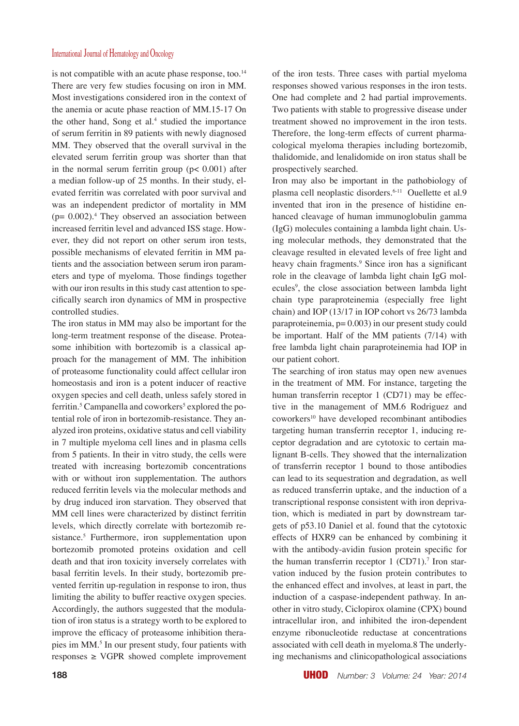#### International Journal of Hematology and Oncology

is not compatible with an acute phase response, too.<sup>14</sup> There are very few studies focusing on iron in MM. Most investigations considered iron in the context of the anemia or acute phase reaction of MM.15-17 On the other hand, Song et al.<sup>4</sup> studied the importance of serum ferritin in 89 patients with newly diagnosed MM. They observed that the overall survival in the elevated serum ferritin group was shorter than that in the normal serum ferritin group  $(p < 0.001)$  after a median follow-up of 25 months. In their study, elevated ferritin was correlated with poor survival and was an independent predictor of mortality in MM  $(p= 0.002)$ .<sup>4</sup> They observed an association between increased ferritin level and advanced ISS stage. However, they did not report on other serum iron tests, possible mechanisms of elevated ferritin in MM patients and the association between serum iron parameters and type of myeloma. Those findings together with our iron results in this study cast attention to specifically search iron dynamics of MM in prospective controlled studies.

The iron status in MM may also be important for the long-term treatment response of the disease. Proteasome inhibition with bortezomib is a classical approach for the management of MM. The inhibition of proteasome functionality could affect cellular iron homeostasis and iron is a potent inducer of reactive oxygen species and cell death, unless safely stored in ferritin.<sup>5</sup> Campanella and coworkers<sup>5</sup> explored the potential role of iron in bortezomib-resistance. They analyzed iron proteins, oxidative status and cell viability in 7 multiple myeloma cell lines and in plasma cells from 5 patients. In their in vitro study, the cells were treated with increasing bortezomib concentrations with or without iron supplementation. The authors reduced ferritin levels via the molecular methods and by drug induced iron starvation. They observed that MM cell lines were characterized by distinct ferritin levels, which directly correlate with bortezomib resistance.<sup>5</sup> Furthermore, iron supplementation upon bortezomib promoted proteins oxidation and cell death and that iron toxicity inversely correlates with basal ferritin levels. In their study, bortezomib prevented ferritin up-regulation in response to iron, thus limiting the ability to buffer reactive oxygen species. Accordingly, the authors suggested that the modulation of iron status is a strategy worth to be explored to improve the efficacy of proteasome inhibition therapies im MM.<sup>5</sup> In our present study, four patients with  $response \geq VGPR$  showed complete improvement

of the iron tests. Three cases with partial myeloma responses showed various responses in the iron tests. One had complete and 2 had partial improvements. Two patients with stable to progressive disease under treatment showed no improvement in the iron tests. Therefore, the long-term effects of current pharmacological myeloma therapies including bortezomib, thalidomide, and lenalidomide on iron status shall be prospectively searched.

Iron may also be important in the pathobiology of plasma cell neoplastic disorders.6-11 Ouellette et al.9 invented that iron in the presence of histidine enhanced cleavage of human immunoglobulin gamma (IgG) molecules containing a lambda light chain. Using molecular methods, they demonstrated that the cleavage resulted in elevated levels of free light and heavy chain fragments.<sup>9</sup> Since iron has a significant role in the cleavage of lambda light chain IgG molecules<sup>9</sup>, the close association between lambda light chain type paraproteinemia (especially free light chain) and IOP (13/17 in IOP cohort vs 26/73 lambda paraproteinemia,  $p= 0.003$ ) in our present study could be important. Half of the MM patients (7/14) with free lambda light chain paraproteinemia had IOP in our patient cohort.

The searching of iron status may open new avenues in the treatment of MM. For instance, targeting the human transferrin receptor 1 (CD71) may be effective in the management of MM.6 Rodriguez and coworkers<sup>10</sup> have developed recombinant antibodies targeting human transferrin receptor 1, inducing receptor degradation and are cytotoxic to certain malignant B-cells. They showed that the internalization of transferrin receptor 1 bound to those antibodies can lead to its sequestration and degradation, as well as reduced transferrin uptake, and the induction of a transcriptional response consistent with iron deprivation, which is mediated in part by downstream targets of p53.10 Daniel et al. found that the cytotoxic effects of HXR9 can be enhanced by combining it with the antibody-avidin fusion protein specific for the human transferrin receptor  $1$  (CD71).<sup>7</sup> Iron starvation induced by the fusion protein contributes to the enhanced effect and involves, at least in part, the induction of a caspase-independent pathway. In another in vitro study, Ciclopirox olamine (CPX) bound intracellular iron, and inhibited the iron-dependent enzyme ribonucleotide reductase at concentrations associated with cell death in myeloma.8 The underlying mechanisms and clinicopathological associations